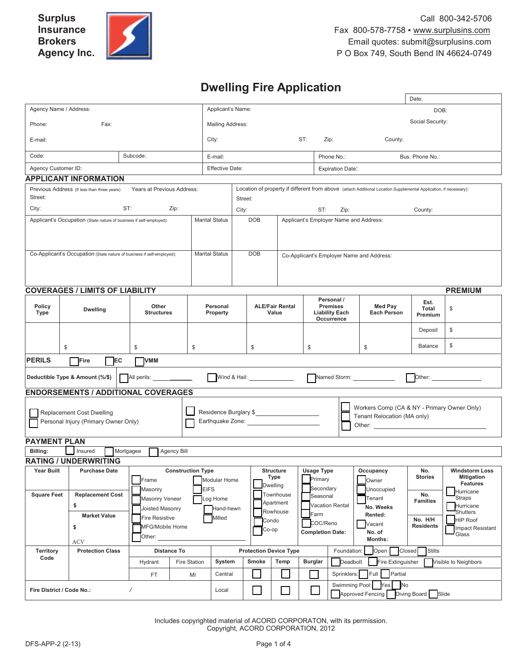# **Dwelling Fire Application**

|                                                                     |                                                                                          |                                              |                                                                                           |                               |                                                                                                                              |                                      |                                              |                                                                      |                                             |             |                                          | Date:                                                 |                                                                               |
|---------------------------------------------------------------------|------------------------------------------------------------------------------------------|----------------------------------------------|-------------------------------------------------------------------------------------------|-------------------------------|------------------------------------------------------------------------------------------------------------------------------|--------------------------------------|----------------------------------------------|----------------------------------------------------------------------|---------------------------------------------|-------------|------------------------------------------|-------------------------------------------------------|-------------------------------------------------------------------------------|
| Agency Name / Address:                                              |                                                                                          | Applicant's Name:                            |                                                                                           |                               |                                                                                                                              |                                      |                                              | DOB:                                                                 |                                             |             |                                          |                                                       |                                                                               |
| Phone:                                                              | Fax:                                                                                     |                                              |                                                                                           |                               | <b>Mailing Address:</b>                                                                                                      |                                      |                                              |                                                                      |                                             |             | Social Security:                         |                                                       |                                                                               |
| E-mail:                                                             |                                                                                          |                                              |                                                                                           |                               | ST:<br>City:<br>Zip:<br>County:                                                                                              |                                      |                                              |                                                                      |                                             |             |                                          |                                                       |                                                                               |
| Code:                                                               |                                                                                          | Subcode:                                     |                                                                                           | E-mail:                       |                                                                                                                              |                                      |                                              |                                                                      | Phone No.:                                  |             |                                          | Bus. Phone No.:                                       |                                                                               |
| Agency Customer ID:                                                 |                                                                                          |                                              |                                                                                           | <b>Effective Date:</b>        |                                                                                                                              |                                      |                                              |                                                                      | <b>Expiration Date:</b>                     |             |                                          |                                                       |                                                                               |
| <b>APPLICANT INFORMATION</b>                                        |                                                                                          |                                              |                                                                                           |                               |                                                                                                                              |                                      |                                              |                                                                      |                                             |             |                                          |                                                       |                                                                               |
| Street:                                                             | Years at Previous Address:<br>Previous Address (If less than three years)                |                                              |                                                                                           |                               | Location of property if different from above (attach Additional Location Supplemental Application, if necessary):<br>Street: |                                      |                                              |                                                                      |                                             |             |                                          |                                                       |                                                                               |
| City:                                                               | ST:                                                                                      |                                              | Zip:                                                                                      | City:                         |                                                                                                                              |                                      |                                              | ST:<br>Zip:<br>County:                                               |                                             |             |                                          |                                                       |                                                                               |
| Applicant's Occupation (State nature of business if self-employed): |                                                                                          |                                              |                                                                                           |                               | <b>DOB</b><br><b>Marital Status</b>                                                                                          |                                      | Applicant's Employer Name and Address:       |                                                                      |                                             |             |                                          |                                                       |                                                                               |
|                                                                     | Co-Applicant's Occupation (State nature of business if self-employed):                   |                                              |                                                                                           | <b>Marital Status</b>         | <b>DOB</b><br>Co-Applicant's Employer Name and Address:                                                                      |                                      |                                              |                                                                      |                                             |             |                                          |                                                       |                                                                               |
|                                                                     | <b>COVERAGES / LIMITS OF LIABILITY</b>                                                   |                                              |                                                                                           |                               |                                                                                                                              |                                      |                                              |                                                                      |                                             |             |                                          |                                                       | <b>PREMIUM</b>                                                                |
| <b>Policy</b><br>Type                                               | <b>Dwelling</b>                                                                          | Other<br><b>Structures</b>                   |                                                                                           | Personal<br>Property          |                                                                                                                              | <b>ALE/Fair Rental</b><br>Value      |                                              | Personal /<br><b>Premises</b><br><b>Liability Each</b><br>Occurrence |                                             |             | Med Pay<br><b>Each Person</b>            | Est.<br>Total<br>Premium                              | \$                                                                            |
|                                                                     |                                                                                          |                                              |                                                                                           |                               |                                                                                                                              |                                      |                                              |                                                                      |                                             |             |                                          | Deposit                                               | \$                                                                            |
| \$                                                                  |                                                                                          | \$                                           | \$                                                                                        |                               |                                                                                                                              | \$                                   |                                              | \$                                                                   |                                             |             | \$                                       | Balance                                               | \$                                                                            |
| <b>PERILS</b><br>Fire<br>EC<br><b>VMM</b>                           |                                                                                          |                                              |                                                                                           |                               |                                                                                                                              |                                      |                                              |                                                                      |                                             |             |                                          |                                                       |                                                                               |
|                                                                     | Wind & Hail:<br>Other:<br>All perils: <u>________</u><br>Deductible Type & Amount (%/\$) |                                              |                                                                                           |                               |                                                                                                                              |                                      |                                              |                                                                      |                                             |             |                                          |                                                       |                                                                               |
| <b>ENDORSEMENTS / ADDITIONAL COVERAGES</b>                          |                                                                                          |                                              |                                                                                           |                               |                                                                                                                              |                                      |                                              |                                                                      |                                             |             |                                          |                                                       |                                                                               |
| Replacement Cost Dwelling<br>Personal Injury (Primary Owner Only)   |                                                                                          |                                              |                                                                                           |                               | Residence Burglary \$<br>Tenant Relocation (MA only)                                                                         |                                      |                                              |                                                                      | Workers Comp (CA & NY - Primary Owner Only) |             |                                          |                                                       |                                                                               |
| <b>PAYMENT PLAN</b>                                                 |                                                                                          |                                              |                                                                                           |                               |                                                                                                                              |                                      |                                              |                                                                      |                                             |             |                                          |                                                       |                                                                               |
| Billing:                                                            | Insured                                                                                  | Mortgagee                                    | Agency Bill                                                                               |                               |                                                                                                                              |                                      |                                              |                                                                      |                                             |             |                                          |                                                       |                                                                               |
| <b>Year Built</b>                                                   | <b>RATING / UNDERWRITING</b>                                                             |                                              |                                                                                           |                               |                                                                                                                              |                                      |                                              |                                                                      |                                             |             |                                          |                                                       |                                                                               |
|                                                                     | <b>Purchase Date</b>                                                                     | <b>Construction Type</b><br>Frame<br>Masonry |                                                                                           | Modular Home<br><b>EIFS</b>   |                                                                                                                              | <b>Structure</b><br>Type<br>Dwelling |                                              |                                                                      | <b>Usage Type</b><br>Primary<br>Secondary   |             | Occupancy<br>Owner<br>Unoccupied         | No.<br>Stories                                        | <b>Windstorm Loss</b><br><b>Mitigation</b><br><b>Features</b><br>Hurricane    |
| <b>Square Feet</b>                                                  | <b>Replacement Cost</b><br>\$<br><b>Market Value</b><br>\$                               |                                              | Masonry Veneer<br>Log Home<br>Joisted Masonry<br><b>Fire Resistive</b><br>MFG/Mobile Home |                               | Apartment<br>Hand-hewn<br>Rowhouse<br>Milled<br>Condo<br>Co-op                                                               |                                      | Townhouse                                    | Seasonal<br>Vacation Rental<br>Farm<br>COC/Reno                      |                                             |             | Tenant<br>No. Weeks<br>Rented:<br>Vacant | No.<br><b>Families</b><br>No. H/H<br><b>Residents</b> | <b>Straps</b><br>Hurricane<br>Shutters<br><b>HIP Roof</b><br>Impact Resistant |
| Other:<br><b>ACV</b>                                                |                                                                                          |                                              |                                                                                           |                               |                                                                                                                              |                                      | <b>Completion Date:</b><br>No. of<br>Months: |                                                                      |                                             |             | Glass                                    |                                                       |                                                                               |
| <b>Territory</b><br><b>Protection Class</b><br><b>Distance To</b>   |                                                                                          |                                              |                                                                                           | <b>Protection Device Type</b> |                                                                                                                              |                                      |                                              | Foundation:<br>Open<br><b>Stilts</b><br>Closed                       |                                             |             |                                          |                                                       |                                                                               |
| Code                                                                |                                                                                          | Hydrant                                      | <b>Fire Station</b>                                                                       | System                        |                                                                                                                              | Smoke                                | Temp                                         | <b>Burglar</b>                                                       |                                             | Deadbolt    | Fire Extinguisher                        |                                                       | Visible to Neighbors                                                          |
|                                                                     |                                                                                          | FT                                           | MI                                                                                        | Central                       |                                                                                                                              |                                      |                                              |                                                                      |                                             | Sprinklers: | Partial<br>Full                          |                                                       |                                                                               |
| Fire District / Code No.:<br>$\overline{1}$                         |                                                                                          |                                              |                                                                                           |                               | Swimming Pool: Yes<br>No<br>Local<br>Approved Fencing<br>Diving Board Slide                                                  |                                      |                                              |                                                                      |                                             |             |                                          |                                                       |                                                                               |

Includes copyrighted material of ACORD CORPORATON, with its permission. Copyright, ACORD CORPORATION, 2012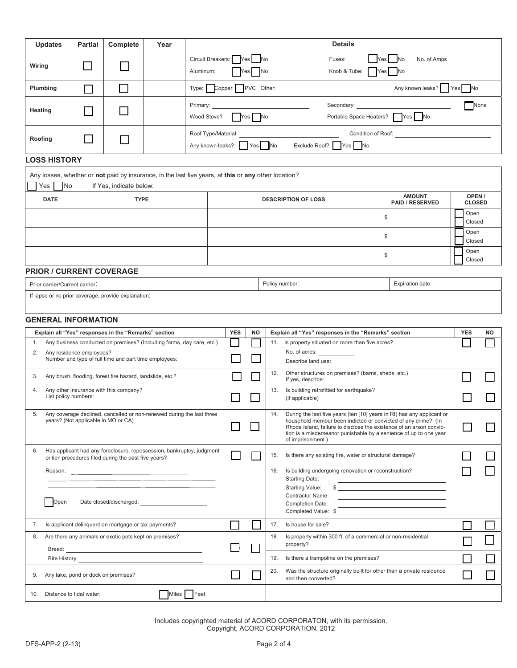| <b>Updates</b>                                                                                                                      | Partial                                                                                                                       | Complete                               | Year                                                                                                 |                               |                                                                                                                                                |            |                                                                                                                                         |                                                               | <b>Details</b>                                                                                                                          |                                                                                                                       |                                  |           |  |
|-------------------------------------------------------------------------------------------------------------------------------------|-------------------------------------------------------------------------------------------------------------------------------|----------------------------------------|------------------------------------------------------------------------------------------------------|-------------------------------|------------------------------------------------------------------------------------------------------------------------------------------------|------------|-----------------------------------------------------------------------------------------------------------------------------------------|---------------------------------------------------------------|-----------------------------------------------------------------------------------------------------------------------------------------|-----------------------------------------------------------------------------------------------------------------------|----------------------------------|-----------|--|
| Wiring                                                                                                                              |                                                                                                                               |                                        |                                                                                                      | Circuit Breakers:             |                                                                                                                                                | Yes        | <b>No</b>                                                                                                                               |                                                               | Fuses:                                                                                                                                  | No. of Amps<br>No<br><b>Yes</b>                                                                                       |                                  |           |  |
|                                                                                                                                     |                                                                                                                               |                                        |                                                                                                      | Aluminum:<br><b>No</b><br>'es |                                                                                                                                                |            |                                                                                                                                         |                                                               | Knob & Tube: Yes                                                                                                                        | <b>No</b>                                                                                                             |                                  |           |  |
| Plumbing                                                                                                                            |                                                                                                                               |                                        |                                                                                                      |                               | $Type: \blacksquare Copper \blacksquare PVC Other: \blacksquare$                                                                               |            |                                                                                                                                         |                                                               |                                                                                                                                         | Any known leaks? Yes No                                                                                               |                                  |           |  |
| Heating                                                                                                                             |                                                                                                                               |                                        |                                                                                                      | Primary:                      |                                                                                                                                                |            |                                                                                                                                         |                                                               | Secondary: Secondary:                                                                                                                   |                                                                                                                       |                                  | None      |  |
|                                                                                                                                     |                                                                                                                               |                                        |                                                                                                      | Wood Stove?                   |                                                                                                                                                |            | Yes   No                                                                                                                                |                                                               | Portable Space Heaters? Yes No                                                                                                          |                                                                                                                       |                                  |           |  |
| Roofing                                                                                                                             |                                                                                                                               |                                        |                                                                                                      |                               | Roof Type/Material:<br>Condition of Roof: <u>Conditional Conditional Conditional Conditional Conditional Conditional Conditional Condition</u> |            |                                                                                                                                         |                                                               |                                                                                                                                         |                                                                                                                       |                                  |           |  |
|                                                                                                                                     | Any known leaks?   Yes No<br>Exclude Roof? Yes No                                                                             |                                        |                                                                                                      |                               |                                                                                                                                                |            |                                                                                                                                         |                                                               |                                                                                                                                         |                                                                                                                       |                                  |           |  |
| <b>LOSS HISTORY</b>                                                                                                                 |                                                                                                                               |                                        |                                                                                                      |                               |                                                                                                                                                |            |                                                                                                                                         |                                                               |                                                                                                                                         |                                                                                                                       |                                  |           |  |
|                                                                                                                                     |                                                                                                                               |                                        | Any losses, whether or not paid by insurance, in the last five years, at this or any other location? |                               |                                                                                                                                                |            |                                                                                                                                         |                                                               |                                                                                                                                         |                                                                                                                       |                                  |           |  |
| Yes No<br><b>DATE</b>                                                                                                               |                                                                                                                               | If Yes, indicate below:<br><b>TYPE</b> |                                                                                                      |                               |                                                                                                                                                |            |                                                                                                                                         |                                                               | <b>DESCRIPTION OF LOSS</b>                                                                                                              | <b>AMOUNT</b>                                                                                                         | OPEN/                            |           |  |
|                                                                                                                                     |                                                                                                                               |                                        |                                                                                                      |                               |                                                                                                                                                |            |                                                                                                                                         |                                                               |                                                                                                                                         | <b>PAID / RESERVED</b>                                                                                                | <b>CLOSED</b><br>Open            |           |  |
|                                                                                                                                     |                                                                                                                               |                                        |                                                                                                      |                               |                                                                                                                                                |            |                                                                                                                                         |                                                               |                                                                                                                                         | \$<br>Closed                                                                                                          |                                  |           |  |
|                                                                                                                                     |                                                                                                                               |                                        |                                                                                                      |                               |                                                                                                                                                |            |                                                                                                                                         |                                                               |                                                                                                                                         | \$                                                                                                                    | Open<br>Closed<br>Open<br>Closed |           |  |
|                                                                                                                                     |                                                                                                                               |                                        |                                                                                                      |                               |                                                                                                                                                |            |                                                                                                                                         |                                                               |                                                                                                                                         | \$                                                                                                                    |                                  |           |  |
| <b>PRIOR / CURRENT COVERAGE</b>                                                                                                     |                                                                                                                               |                                        |                                                                                                      |                               |                                                                                                                                                |            |                                                                                                                                         |                                                               |                                                                                                                                         |                                                                                                                       |                                  |           |  |
| Policy number:<br>Expiration date:<br>Prior carrier/Current carrier:                                                                |                                                                                                                               |                                        |                                                                                                      |                               |                                                                                                                                                |            |                                                                                                                                         |                                                               |                                                                                                                                         |                                                                                                                       |                                  |           |  |
|                                                                                                                                     | If lapse or no prior coverage, provide explanation:                                                                           |                                        |                                                                                                      |                               |                                                                                                                                                |            |                                                                                                                                         |                                                               |                                                                                                                                         |                                                                                                                       |                                  |           |  |
|                                                                                                                                     |                                                                                                                               |                                        |                                                                                                      |                               |                                                                                                                                                |            |                                                                                                                                         |                                                               |                                                                                                                                         |                                                                                                                       |                                  |           |  |
| <b>GENERAL INFORMATION</b>                                                                                                          |                                                                                                                               |                                        |                                                                                                      |                               |                                                                                                                                                | <b>YES</b> | <b>NO</b>                                                                                                                               |                                                               | Explain all "Yes" responses in the "Remarks" section                                                                                    |                                                                                                                       | <b>YES</b>                       | <b>NO</b> |  |
| Explain all "Yes" responses in the "Remarks" section<br>Any business conducted on premises? (Including farms, day care, etc.)<br>1. |                                                                                                                               |                                        |                                                                                                      |                               |                                                                                                                                                |            |                                                                                                                                         | 11. Is property situated on more than five acres?             |                                                                                                                                         |                                                                                                                       |                                  |           |  |
| 2.<br>Any residence employees?<br>Number and type of full time and part time employees:                                             |                                                                                                                               |                                        |                                                                                                      |                               |                                                                                                                                                |            | No. of acres:<br>Describe land use:                                                                                                     |                                                               |                                                                                                                                         |                                                                                                                       |                                  |           |  |
| 3.                                                                                                                                  | Any brush, flooding, forest fire hazard, landslide, etc.?                                                                     |                                        |                                                                                                      |                               |                                                                                                                                                |            |                                                                                                                                         | 12.                                                           | Other structures on premises? (barns, sheds, etc.)<br>If yes, describe:                                                                 |                                                                                                                       |                                  |           |  |
| 4.                                                                                                                                  | Any other insurance with this company?                                                                                        |                                        |                                                                                                      |                               |                                                                                                                                                |            |                                                                                                                                         | 13.                                                           | Is building retrofitted for earthquake?                                                                                                 |                                                                                                                       |                                  |           |  |
|                                                                                                                                     | List policy numbers:                                                                                                          |                                        |                                                                                                      |                               |                                                                                                                                                |            |                                                                                                                                         |                                                               | (If applicable)                                                                                                                         |                                                                                                                       |                                  |           |  |
| Any coverage declined, cancelled or non-renewed during the last three<br>5.<br>years? (Not applicable in MO or CA)                  |                                                                                                                               |                                        |                                                                                                      |                               |                                                                                                                                                | 14.        | During the last five years (ten [10] years in RI) has any applicant or<br>household member been indicted or convicted of any crime? (In |                                                               |                                                                                                                                         |                                                                                                                       |                                  |           |  |
|                                                                                                                                     |                                                                                                                               |                                        |                                                                                                      |                               |                                                                                                                                                |            |                                                                                                                                         |                                                               | Rhode Island, failure to disclose the existence of an arson convic-<br>tion is a misdemeanor punishable by a sentence of up to one year |                                                                                                                       |                                  |           |  |
| 6.                                                                                                                                  |                                                                                                                               |                                        |                                                                                                      |                               |                                                                                                                                                |            |                                                                                                                                         |                                                               | of imprisonment.)                                                                                                                       |                                                                                                                       |                                  |           |  |
|                                                                                                                                     | Has applicant had any foreclosure, repossession, bankruptcy, judgment<br>or lien procedures filed during the past five years? |                                        |                                                                                                      |                               |                                                                                                                                                |            |                                                                                                                                         | 15.                                                           | Is there any existing fire, water or structural damage?                                                                                 |                                                                                                                       |                                  |           |  |
|                                                                                                                                     |                                                                                                                               |                                        |                                                                                                      |                               |                                                                                                                                                |            |                                                                                                                                         | 16.                                                           | Is building undergoing renovation or reconstruction?<br><b>Starting Date:</b>                                                           |                                                                                                                       |                                  |           |  |
|                                                                                                                                     |                                                                                                                               |                                        |                                                                                                      |                               |                                                                                                                                                |            |                                                                                                                                         |                                                               | Starting Value:<br><b>Contractor Name:</b>                                                                                              | $\frac{1}{2}$                                                                                                         |                                  |           |  |
| Open                                                                                                                                |                                                                                                                               |                                        |                                                                                                      |                               |                                                                                                                                                |            |                                                                                                                                         |                                                               | <b>Completion Date:</b><br>Completed Value: \$                                                                                          | <u> 1989 - Johann Barn, mars and de Branch Barn, mars and de Branch Barn, mars and de Branch Barn, mars and de Br</u> |                                  |           |  |
| 7.                                                                                                                                  | Is applicant delinquent on mortgage or tax payments?                                                                          |                                        |                                                                                                      |                               |                                                                                                                                                |            |                                                                                                                                         | 17.                                                           | Is house for sale?                                                                                                                      |                                                                                                                       |                                  |           |  |
| Are there any animals or exotic pets kept on premises?<br>8.                                                                        |                                                                                                                               |                                        |                                                                                                      |                               |                                                                                                                                                |            | 18.                                                                                                                                     | Is property within 300 ft. of a commercial or non-residential |                                                                                                                                         |                                                                                                                       |                                  |           |  |
|                                                                                                                                     | Breed: <u>Alexander State Communication</u>                                                                                   |                                        |                                                                                                      |                               |                                                                                                                                                |            |                                                                                                                                         |                                                               | property?                                                                                                                               |                                                                                                                       |                                  |           |  |
|                                                                                                                                     |                                                                                                                               |                                        |                                                                                                      |                               |                                                                                                                                                |            |                                                                                                                                         | 19.<br>20.                                                    | Is there a trampoline on the premises?<br>Was the structure originally built for other than a private residence                         |                                                                                                                       |                                  |           |  |
| Any lake, pond or dock on premises?<br>9.                                                                                           |                                                                                                                               |                                        |                                                                                                      |                               |                                                                                                                                                |            |                                                                                                                                         | and then converted?                                           |                                                                                                                                         |                                                                                                                       |                                  |           |  |

Includes copyrighted material of ACORD CORPORATON, with its permission. Copyright, ACORD CORPORATION, 2012

10. Distance to tidal water: Miles Feet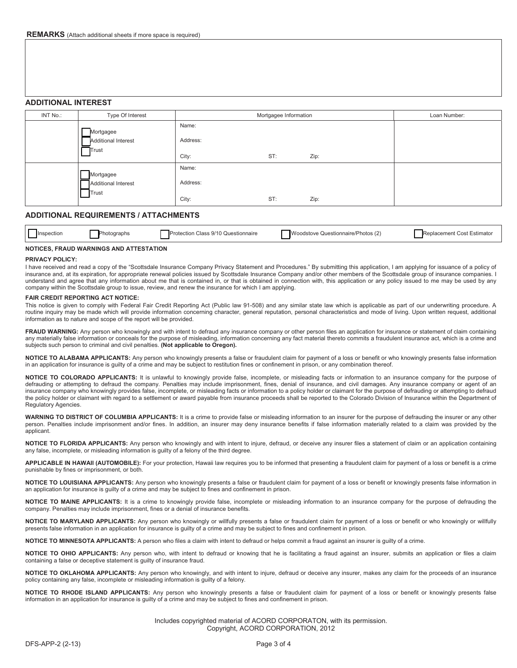# **ADDITIONAL INTEREST**

| INT No.: | Type Of Interest                                 | Mortgagee Information      | Loan Number: |      |  |
|----------|--------------------------------------------------|----------------------------|--------------|------|--|
|          | Mortgagee<br><b>Additional Interest</b><br>Trust | Name:<br>Address:<br>City: | ST:          | Zip: |  |
|          | Mortgagee<br>Additional Interest<br>Trust        | Name:<br>Address:<br>City: | ST:          | Zip: |  |

# **ADDITIONAL REQUIREMENTS / ATTACHMENTS**

| <b>Inspection</b><br>Jhott<br>ıranh | Class 9/10 Questionnaire<br>Protection | (2)<br>Woodstove "<br>: Questionnaire/Photos (2) | งlacement<br>Estimator<br>Cost<br>⊷ |
|-------------------------------------|----------------------------------------|--------------------------------------------------|-------------------------------------|
|-------------------------------------|----------------------------------------|--------------------------------------------------|-------------------------------------|

## **NOTICES, FRAUD WARNINGS AND ATTESTATION**

### **PRIVACY POLICY:**

I have received and read a copy of the "Scottsdale Insurance Company Privacy Statement and Procedures." By submitting this application, I am applying for issuance of a policy of insurance and, at its expiration, for appropriate renewal policies issued by Scottsdale Insurance Company and/or other members of the Scottsdale group of insurance companies. I understand and agree that any information about me that is contained in, or that is obtained in connection with, this application or any policy issued to me may be used by any company within the Scottsdale group to issue, review, and renew the insurance for which I am applying.

#### **FAIR CREDIT REPORTING ACT NOTICE:**

This notice is given to comply with Federal Fair Credit Reporting Act (Public law 91-508) and any similar state law which is applicable as part of our underwriting procedure. A routine inquiry may be made which will provide information concerning character, general reputation, personal characteristics and mode of living. Upon written request, additional information as to nature and scope of the report will be provided.

FRAUD WARNING: Any person who knowingly and with intent to defraud any insurance company or other person files an application for insurance or statement of claim containing any materially false information or conceals for the purpose of misleading, information concerning any fact material thereto commits a fraudulent insurance act, which is a crime and subjects such person to criminal and civil penalties. **(Not applicable to Oregon).**

**NOTICE TO ALABAMA APPLICANTS:** Any person who knowingly presents a false or fraudulent claim for payment of a loss or benefit or who knowingly presents false information in an application for insurance is guilty of a crime and may be subject to restitution fines or confinement in prison, or any combination thereof.

**NOTICE TO COLORADO APPLICANTS:** It is unlawful to knowingly provide false, incomplete, or misleading facts or information to an insurance company for the purpose of defrauding or attempting to defraud the company. Penalties may include imprisonment, fines, denial of insurance, and civil damages. Any insurance company or agent of an insurance company who knowingly provides false, incomplete, or misleading facts or information to a policy holder or claimant for the purpose of defrauding or attempting to defraud the policy holder or claimant with regard to a settlement or award payable from insurance proceeds shall be reported to the Colorado Division of Insurance within the Department of Regulatory Agencies.

WARNING TO DISTRICT OF COLUMBIA APPLICANTS: It is a crime to provide false or misleading information to an insurer for the purpose of defrauding the insurer or any other person. Penalties include imprisonment and/or fines. In addition, an insurer may deny insurance benefits if false information materially related to a claim was provided by the applicant.

**NOTICE TO FLORIDA APPLICANTS:** Any person who knowingly and with intent to injure, defraud, or deceive any insurer files a statement of claim or an application containing any false, incomplete, or misleading information is guilty of a felony of the third degree.

**APPLICABLE IN HAWAII (AUTOMOBILE):** For your protection, Hawaii law requires you to be informed that presenting a fraudulent claim for payment of a loss or benefit is a crime punishable by fines or imprisonment, or both.

**NOTICE TO LOUISIANA APPLICANTS:** Any person who knowingly presents a false or fraudulent claim for payment of a loss or benefit or knowingly presents false information in an application for insurance is guilty of a crime and may be subject to fines and confinement in prison.

**NOTICE TO MAINE APPLICANTS:** It is a crime to knowingly provide false, incomplete or misleading information to an insurance company for the purpose of defrauding the company. Penalties may include imprisonment, fines or a denial of insurance benefits.

**NOTICE TO MARYLAND APPLICANTS:** Any person who knowingly or willfully presents a false or fraudulent claim for payment of a loss or benefit or who knowingly or willfully presents false information in an application for insurance is guilty of a crime and may be subject to fines and confinement in prison.

**NOTICE TO MINNESOTA APPLICANTS:** A person who files a claim with intent to defraud or helps commit a fraud against an insurer is guilty of a crime.

**NOTICE TO OHIO APPLICANTS:** Any person who, with intent to defraud or knowing that he is facilitating a fraud against an insurer, submits an application or files a claim containing a false or deceptive statement is guilty of insurance fraud.

**NOTICE TO OKLAHOMA APPLICANTS:** Any person who knowingly, and with intent to injure, defraud or deceive any insurer, makes any claim for the proceeds of an insurance policy containing any false, incomplete or misleading information is guilty of a felony.

**NOTICE TO RHODE ISLAND APPLICANTS:** Any person who knowingly presents a false or fraudulent claim for payment of a loss or benefit or knowingly presents false information in an application for insurance is guilty of a crime and may be subject to fines and confinement in prison.

> Includes copyrighted material of ACORD CORPORATON, with its permission. Copyright, ACORD CORPORATION, 2012